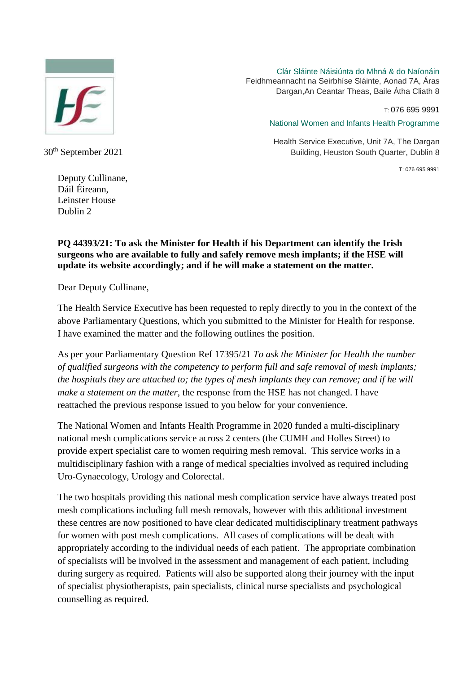

Clár Sláinte Náisiúnta do Mhná & do Naíonáin Feidhmeannacht na Seirbhíse Sláinte, Aonad 7A, Áras Dargan,An Ceantar Theas, Baile Átha Cliath 8

T: 076 695 9991

National Women and Infants Health Programme

Health Service Executive, Unit 7A, The Dargan Building, Heuston South Quarter, Dublin 8

T: 076 695 9991

30th September 2021

Deputy Cullinane, Dáil Éireann, Leinster House Dublin 2

## **PQ 44393/21: To ask the Minister for Health if his Department can identify the Irish surgeons who are available to fully and safely remove mesh implants; if the HSE will update its website accordingly; and if he will make a statement on the matter.**

Dear Deputy Cullinane,

The Health Service Executive has been requested to reply directly to you in the context of the above Parliamentary Questions, which you submitted to the Minister for Health for response. I have examined the matter and the following outlines the position.

As per your Parliamentary Question Ref 17395/21 *To ask the Minister for Health the number of qualified surgeons with the competency to perform full and safe removal of mesh implants; the hospitals they are attached to; the types of mesh implants they can remove; and if he will make a statement on the matter,* the response from the HSE has not changed. I have reattached the previous response issued to you below for your convenience.

The National Women and Infants Health Programme in 2020 funded a multi-disciplinary national mesh complications service across 2 centers (the CUMH and Holles Street) to provide expert specialist care to women requiring mesh removal. This service works in a multidisciplinary fashion with a range of medical specialties involved as required including Uro-Gynaecology, Urology and Colorectal.

The two hospitals providing this national mesh complication service have always treated post mesh complications including full mesh removals, however with this additional investment these centres are now positioned to have clear dedicated multidisciplinary treatment pathways for women with post mesh complications. All cases of complications will be dealt with appropriately according to the individual needs of each patient. The appropriate combination of specialists will be involved in the assessment and management of each patient, including during surgery as required. Patients will also be supported along their journey with the input of specialist physiotherapists, pain specialists, clinical nurse specialists and psychological counselling as required.